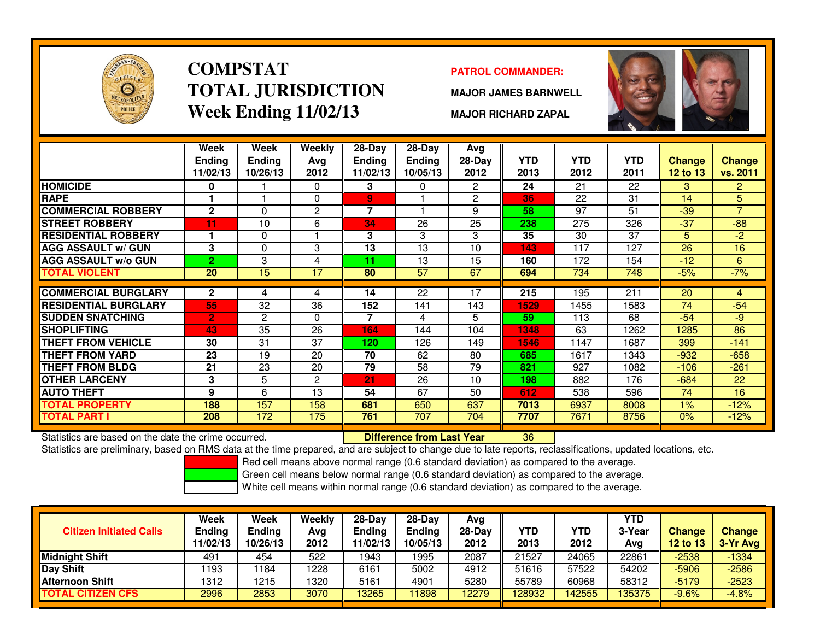

### **COMPSTATTOTAL JURISDICTIONWeek Ending 11/02/13**

### **PATROL COMMANDER:**

**MAJOR JAMES BARNWELL**



**MAJOR RICHARD ZAPAL**

|                                                      | Week<br>Ending<br>11/02/13 | Week<br><b>Ending</b><br>10/26/13 | <b>Weekly</b><br>Ava<br>2012 | $28$ -Day<br>Ending<br>11/02/13 | $28 - Day$<br><b>Ending</b><br>10/05/13 | Avg<br>28-Day<br>2012 | <b>YTD</b><br>2013 | <b>YTD</b><br>2012 | <b>YTD</b><br>2011 | <b>Change</b><br><b>12 to 13</b> | <b>Change</b><br>vs. 2011 |
|------------------------------------------------------|----------------------------|-----------------------------------|------------------------------|---------------------------------|-----------------------------------------|-----------------------|--------------------|--------------------|--------------------|----------------------------------|---------------------------|
| <b>HOMICIDE</b>                                      | 0                          |                                   | 0                            | 3                               | $\mathbf{0}$                            | $\overline{2}$        | 24                 | 21                 | 22                 | 3                                | $\overline{2}$            |
| <b>RAPE</b>                                          |                            |                                   | 0                            | 9                               |                                         | $\overline{2}$        | 36                 | 22                 | 31                 | 14                               | 5                         |
| <b>COMMERCIAL ROBBERY</b>                            | $\mathbf{2}$               | 0                                 | $\overline{2}$               | $\overline{7}$                  |                                         | 9                     | 58                 | 97                 | 51                 | $-39$                            | $\overline{7}$            |
| <b>STREET ROBBERY</b>                                | 11                         | 10                                | 6                            | 34                              | 26                                      | 25                    | 238                | 275                | 326                | $-37$                            | $-88$                     |
| <b>RESIDENTIAL ROBBERY</b>                           |                            | 0                                 |                              | 3                               | 3                                       | 3                     | 35                 | 30                 | 37                 | 5                                | $-2$                      |
| <b>AGG ASSAULT w/ GUN</b>                            | 3                          | 0                                 | 3                            | 13                              | 13                                      | 10                    | 143                | 117                | 127                | 26                               | 16                        |
| <b>AGG ASSAULT w/o GUN</b>                           | $\overline{2}$             | 3                                 | 4                            | 11                              | 13                                      | 15                    | 160                | 172                | 154                | $-12$                            | 6                         |
| TOTAL VIOLENT                                        | 20                         | 15                                | 17                           | 80                              | 57                                      | 67                    | 694                | 734                | 748                | $-5%$                            | $-7%$                     |
|                                                      |                            |                                   |                              |                                 |                                         |                       |                    |                    |                    |                                  |                           |
| <b>COMMERCIAL BURGLARY</b>                           | $\mathbf{2}$               | 4                                 | 4                            | 14                              | 22                                      | 17                    | 215                | 195                | 211                | 20                               | $\overline{4}$            |
| <b>RESIDENTIAL BURGLARY</b>                          | 55                         | 32                                | 36                           | 152                             | 141                                     | 143                   | 1529               | 1455               | 1583               | 74                               | $-54$                     |
| <b>SUDDEN SNATCHING</b>                              | $\overline{2}$             | 2                                 | $\Omega$                     | 7                               | 4                                       | 5.                    | 59                 | 113                | 68                 | $-54$                            | -9                        |
| <b>SHOPLIFTING</b>                                   | 43                         | 35                                | 26                           | 164                             | 144                                     | 104                   | 1348               | 63                 | 1262               | 1285                             | 86                        |
| THEFT FROM VEHICLE                                   | 30                         | 31                                | 37                           | 120                             | 126                                     | 149                   | 1546               | 1147               | 1687               | 399                              | $-141$                    |
| <b>THEFT FROM YARD</b>                               | 23                         | 19                                | 20                           | 70                              | 62                                      | 80                    | 685                | 1617               | 1343               | $-932$                           | $-658$                    |
| <b>THEFT FROM BLDG</b>                               | 21                         | 23                                | 20                           | 79                              | 58                                      | 79                    | 821                | 927                | 1082               | $-106$                           | $-261$                    |
| <b>OTHER LARCENY</b>                                 | 3                          | 5                                 | 2                            | 21                              | 26                                      | 10                    | 198                | 882                | 176                | $-684$                           | 22                        |
| <b>AUTO THEFT</b>                                    | 9                          | 6                                 | 13                           | 54                              | 67                                      | 50                    | 612                | 538                | 596                | 74                               | 16                        |
| <b>TOTAL PROPERTY</b>                                | 188                        | 157                               | 158                          | 681                             | 650                                     | 637                   | 7013               | 6937               | 8008               | $1\%$                            | $-12%$                    |
| <b>TOTAL PART I</b>                                  | 208                        | 172                               | 175                          | 761                             | 707                                     | 704                   | 7707               | 7671               | 8756               | 0%                               | $-12%$                    |
| Statistics are based on the date the crime occurred. |                            |                                   |                              |                                 | <b>Difference from Last Year</b>        |                       | 36                 |                    |                    |                                  |                           |

Statistics are based on the date the crime occurred. **Difference from Last Year** 

Statistics are preliminary, based on RMS data at the time prepared, and are subject to change due to late reports, reclassifications, updated locations, etc.

Red cell means above normal range (0.6 standard deviation) as compared to the average.

Green cell means below normal range (0.6 standard deviation) as compared to the average.

| <b>Citizen Initiated Calls</b> | Week<br>Ending<br>11/02/13 | <b>Week</b><br><b>Ending</b><br>10/26/13 | Weekly<br>Avg<br>2012 | 28-Day<br><b>Ending</b><br>1/02/13 | $28-Day$<br><b>Ending</b><br>10/05/13 | Avg<br>28-Dav<br>2012 | YTD<br>2013 | YTD<br>2012 | YTD<br>3-Year<br>Avg | <b>Change</b><br>12 to 13 | <b>Change</b><br>3-Yr Avg |
|--------------------------------|----------------------------|------------------------------------------|-----------------------|------------------------------------|---------------------------------------|-----------------------|-------------|-------------|----------------------|---------------------------|---------------------------|
| <b>Midnight Shift</b>          | 491                        | 454                                      | 522                   | 1943                               | 1995                                  | 2087                  | 21527       | 24065       | 22861                | $-2538$                   | $-1334$                   |
| Day Shift                      | 1193                       | 184                                      | 1228                  | 6161                               | 5002                                  | 4912                  | 51616       | 57522       | 54202                | $-5906$                   | $-2586$                   |
| <b>Afternoon Shift</b>         | 1312                       | 1215                                     | 1320                  | 5161                               | 4901                                  | 5280                  | 55789       | 60968       | 58312                | $-5179$                   | $-2523$                   |
| <b>TOTAL CITIZEN CFS</b>       | 2996                       | 2853                                     | 3070                  | 13265                              | 11898                                 | 12279                 | 128932      | 42555       | 135375               | $-9.6%$                   | $-4.8%$                   |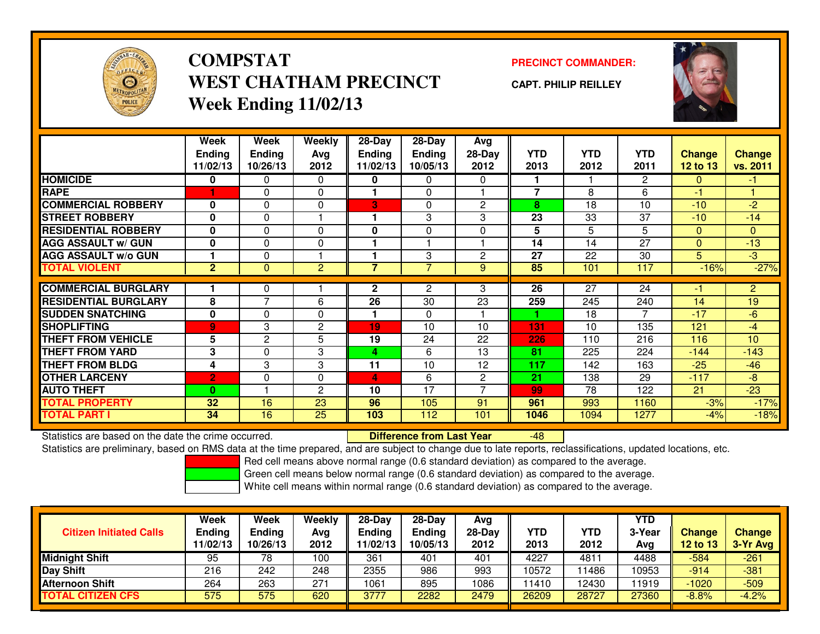

# **COMPSTATWEST CHATHAM PRECINCTWeek Ending 11/02/13**

### **PRECINCT COMMANDER:**

**CAPT. PHILIP REILLEY**



|                             | Week                      | Week                      | Weekly         | $28-Day$                  | 28-Day                    | Avg            |                    |                    |                    |                                  |                           |
|-----------------------------|---------------------------|---------------------------|----------------|---------------------------|---------------------------|----------------|--------------------|--------------------|--------------------|----------------------------------|---------------------------|
|                             | <b>Ending</b><br>11/02/13 | <b>Ending</b><br>10/26/13 | Avg<br>2012    | <b>Ending</b><br>11/02/13 | <b>Ending</b><br>10/05/13 | 28-Day<br>2012 | <b>YTD</b><br>2013 | <b>YTD</b><br>2012 | <b>YTD</b><br>2011 | <b>Change</b><br><b>12 to 13</b> | <b>Change</b><br>vs. 2011 |
| <b>HOMICIDE</b>             | 0                         | 0                         | 0              | 0                         | 0                         | 0              |                    |                    | $\mathbf{2}$       | $\Omega$                         | $-1$                      |
| <b>RAPE</b>                 |                           | 0                         | $\Omega$       |                           | $\Omega$                  |                | $\overline{7}$     | 8                  | 6                  | -1                               |                           |
| <b>COMMERCIAL ROBBERY</b>   | $\bf{0}$                  | $\Omega$                  | $\Omega$       | 3                         | $\mathbf{0}$              | $\mathbf{2}$   | 8                  | 18                 | 10                 | $-10$                            | $-2$                      |
| <b>STREET ROBBERY</b>       | 0                         | $\Omega$                  |                |                           | 3                         | 3              | 23                 | 33                 | 37                 | $-10$                            | $-14$                     |
| <b>RESIDENTIAL ROBBERY</b>  | $\bf{0}$                  | $\Omega$                  | $\Omega$       | 0                         | $\Omega$                  | 0              | 5                  | 5                  | 5                  | $\Omega$                         | $\mathbf{0}$              |
| <b>AGG ASSAULT w/ GUN</b>   | $\bf{0}$                  | $\Omega$                  | 0              |                           |                           |                | 14                 | 14                 | 27                 | $\Omega$                         | $-13$                     |
| <b>AGG ASSAULT w/o GUN</b>  |                           | $\Omega$                  |                |                           | 3                         | $\overline{2}$ | 27                 | 22                 | 30                 | 5                                | $-3$                      |
| <b>TOTAL VIOLENT</b>        | $\overline{2}$            | $\Omega$                  | $\overline{c}$ | 7                         | 7                         | 9              | 85                 | 101                | 117                | $-16%$                           | $-27%$                    |
|                             |                           |                           |                |                           |                           |                |                    |                    |                    |                                  |                           |
| <b>COMMERCIAL BURGLARY</b>  |                           | 0                         |                | $\mathbf{2}$              | $\overline{2}$            | 3              | 26                 | 27                 | 24                 | -1                               | $\overline{2}$            |
| <b>RESIDENTIAL BURGLARY</b> | 8                         | $\overline{7}$            | 6              | 26                        | 30                        | 23             | 259                | 245                | 240                | 14                               | 19                        |
| <b>SUDDEN SNATCHING</b>     | $\mathbf 0$               | $\Omega$                  | 0              |                           | $\Omega$                  |                |                    | 18                 | 7                  | $-17$                            | $-6$                      |
| <b>SHOPLIFTING</b>          | $\overline{9}$            | 3                         | 2              | 19                        | 10                        | 10             | 131                | 10                 | 135                | 121                              | $-4$                      |
| <b>THEFT FROM VEHICLE</b>   | 5                         | 2                         | 5              | 19                        | 24                        | 22             | 226                | 110                | 216                | 116                              | 10                        |
| <b>THEFT FROM YARD</b>      | 3                         | $\Omega$                  | 3              | 4                         | 6                         | 13             | 81                 | 225                | 224                | $-144$                           | $-143$                    |
| <b>THEFT FROM BLDG</b>      | 4                         | 3                         | 3              | 11                        | 10                        | 12             | 117                | 142                | 163                | $-25$                            | $-46$                     |
| <b>OTHER LARCENY</b>        | $\overline{2}$            | $\Omega$                  | $\Omega$       | 4                         | 6                         | $\overline{2}$ | 21                 | 138                | 29                 | $-117$                           | -8                        |
| <b>AUTO THEFT</b>           | $\bf{0}$                  |                           | 2              | 10                        | 17                        | ⇁              | 99                 | 78                 | 122                | 21                               | $-23$                     |
| <b>TOTAL PROPERTY</b>       | 32                        | 16                        | 23             | 96                        | 105                       | 91             | 961                | 993                | 1160               | $-3%$                            | $-17%$                    |
| <b>TOTAL PART I</b>         | 34                        | 16                        | 25             | 103                       | 112                       | 101            | 1046               | 1094               | 1277               | $-4%$                            | $-18%$                    |

Statistics are based on the date the crime occurred. **Difference from Last Year** 

Statistics are based on the date the crime occurred. **Example 20 Defference from Last Year Theodorgie 18 July 1**<br>Statistics are preliminary, based on RMS data at the time prepared, and are subject to change due to late rep

Red cell means above normal range (0.6 standard deviation) as compared to the average.

Green cell means below normal range (0.6 standard deviation) as compared to the average.

| <b>Citizen Initiated Calls</b> | Week<br><b>Ending</b><br>11/02/13 | Week<br><b>Ending</b><br>10/26/13 | Weekly<br>Avg<br>2012 | $28-Day$<br>Ending<br>1/02/13 | $28-Day$<br><b>Ending</b><br>10/05/13 | Avg<br>28-Day<br>2012 | YTD<br>2013 | YTD<br>2012   | <b>YTD</b><br>3-Year<br>Avg | <b>Change</b><br>12 to 13 | <b>Change</b><br>3-Yr Avg |
|--------------------------------|-----------------------------------|-----------------------------------|-----------------------|-------------------------------|---------------------------------------|-----------------------|-------------|---------------|-----------------------------|---------------------------|---------------------------|
| <b>Midnight Shift</b>          | 95                                | 78                                | 100                   | 361                           | 401                                   | 401                   | 4227        | $481^{\circ}$ | 4488                        | $-584$                    | $-261$                    |
| <b>Day Shift</b>               | 216                               | 242                               | 248                   | 2355                          | 986                                   | 993                   | 10572       | 1486          | 10953                       | $-914$                    | $-381$                    |
| <b>Afternoon Shift</b>         | 264                               | 263                               | 271                   | 1061                          | 895                                   | 1086                  | 11410       | 2430          | 11919                       | $-1020$                   | $-509$                    |
| <b>TOTAL CITIZEN CFS</b>       | 575                               | 575                               | 620                   | 3777                          | 2282                                  | 2479                  | 26209       | 28727         | 27360                       | $-8.8%$                   | $-4.2%$                   |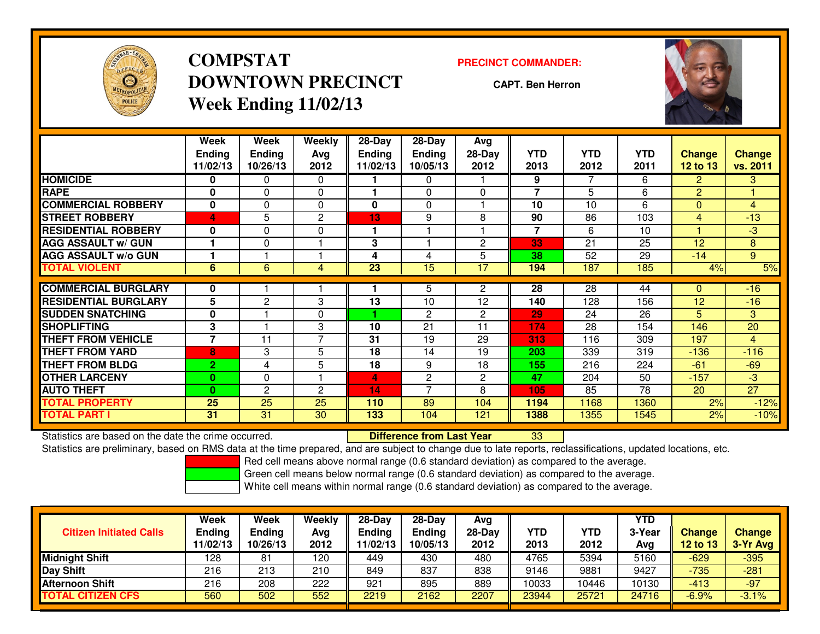

# **COMPSTATDOWNTOWN PRECINCTWeek Ending 11/02/13**

#### **PRECINCT COMMANDER:**

**CAPT. Ben Herron**



|                             | Week<br><b>Endina</b>    | Week<br><b>Ending</b> | <b>Weekly</b><br>Avg | 28-Day<br>Endina | 28-Day<br><b>Endina</b> | Avg<br>28-Day | <b>YTD</b> | <b>YTD</b> | <b>YTD</b> | <b>Change</b>   | <b>Change</b>   |
|-----------------------------|--------------------------|-----------------------|----------------------|------------------|-------------------------|---------------|------------|------------|------------|-----------------|-----------------|
|                             | 11/02/13                 | 10/26/13              | 2012                 | 11/02/13         | 10/05/13                | 2012          | 2013       | 2012       | 2011       | <b>12 to 13</b> | vs. 2011        |
| <b>HOMICIDE</b>             | 0                        | 0                     | $\Omega$             |                  | $\mathbf{0}$            |               | 9          | 7          | 6          | $\overline{2}$  | 3               |
| <b>RAPE</b>                 | $\bf{0}$                 | $\Omega$              | $\Omega$             |                  | $\Omega$                | $\Omega$      | 7          | 5          | 6          | $\overline{2}$  |                 |
| <b>COMMERCIAL ROBBERY</b>   | $\bf{0}$                 | $\Omega$              | $\Omega$             | 0                | $\Omega$                |               | 10         | 10         | 6          | $\Omega$        | 4               |
| <b>STREET ROBBERY</b>       | 4                        | 5                     | 2                    | 13               | 9                       | 8             | 90         | 86         | 103        | 4               | $-13$           |
| <b>RESIDENTIAL ROBBERY</b>  | $\bf{0}$                 | $\Omega$              | 0                    |                  |                         |               | 7          | 6          | 10         | ۷               | $-3$            |
| <b>AGG ASSAULT w/ GUN</b>   |                          | 0                     |                      | 3                |                         | $\mathbf{2}$  | 33         | 21         | 25         | 12              | 8               |
| <b>AGG ASSAULT w/o GUN</b>  |                          |                       |                      | 4                | 4                       | 5             | 38         | 52         | 29         | $-14$           | 9               |
| <b>TOTAL VIOLENT</b>        | 6                        | 6                     | 4                    | 23               | 15                      | 17            | 194        | 187        | 185        | 4%              | 5%              |
|                             |                          |                       |                      |                  |                         |               |            |            |            |                 |                 |
| <b>COMMERCIAL BURGLARY</b>  | 0                        |                       |                      |                  | 5                       | 2             | 28         | 28         | 44         | 0               | $-16$           |
| <b>RESIDENTIAL BURGLARY</b> | 5                        | $\overline{c}$        | 3                    | 13               | 10                      | 12            | 140        | 128        | 156        | 12              | $-16$           |
| <b>SUDDEN SNATCHING</b>     | 0                        |                       | 0                    |                  | $\mathbf{2}$            | $\mathbf{2}$  | 29         | 24         | 26         | 5               | 3               |
| <b>SHOPLIFTING</b>          | 3                        |                       | 3                    | 10               | 21                      | 11            | 174        | 28         | 154        | 146             | 20              |
| <b>THEFT FROM VEHICLE</b>   | $\overline{\phantom{a}}$ | 11                    | $\overline{7}$       | 31               | 19                      | 29            | 313        | 116        | 309        | 197             | 4               |
| <b>THEFT FROM YARD</b>      | 8                        | 3                     | 5                    | 18               | 14                      | 19            | 203        | 339        | 319        | $-136$          | $-116$          |
| <b>THEFT FROM BLDG</b>      | $\overline{2}$           | 4                     | 5                    | 18               | 9                       | 18            | 155        | 216        | 224        | $-61$           | $-69$           |
| <b>OTHER LARCENY</b>        | $\mathbf{0}$             | 0                     |                      | 4                | $\overline{2}$          | $\mathbf{2}$  | 47         | 204        | 50         | $-157$          | $-3$            |
| <b>AUTO THEFT</b>           | $\mathbf{0}$             | 2                     | $\mathbf{c}$         | 14               | $\overline{ }$          | 8             | 105        | 85         | 78         | 20              | $\overline{27}$ |
| <b>TOTAL PROPERTY</b>       | 25                       | 25                    | 25                   | 110              | 89                      | 104           | 1194       | 1168       | 1360       | 2%              | $-12%$          |
| <b>TOTAL PART I</b>         | 31                       | 31                    | 30                   | 133              | 104                     | 121           | 1388       | 1355       | 1545       | 2%              | $-10%$          |

Statistics are based on the date the crime occurred. **Difference from Last Year** 

Statistics are based on the date the crime occurred.<br>Statistics are preliminary, based on RMS data at the time prepared, and are subject to change due to late reports, reclassifications, updated locations, etc.

Red cell means above normal range (0.6 standard deviation) as compared to the average.

Green cell means below normal range (0.6 standard deviation) as compared to the average.

| <b>Citizen Initiated Calls</b> | Week<br><b>Ending</b><br>11/02/13 | Week<br><b>Ending</b><br>10/26/13 | Weekly<br>Avg<br>2012 | $28-Day$<br>Ending<br>1/02/13 | $28-Day$<br><b>Ending</b><br>10/05/13 | Avg<br>28-Day<br>2012 | YTD<br>2013 | YTD<br>2012 | <b>YTD</b><br>3-Year<br>Avg | <b>Change</b><br>12 to 13 | <b>Change</b><br>3-Yr Avg |
|--------------------------------|-----------------------------------|-----------------------------------|-----------------------|-------------------------------|---------------------------------------|-----------------------|-------------|-------------|-----------------------------|---------------------------|---------------------------|
| <b>Midnight Shift</b>          | 128                               | 81                                | 120                   | 449                           | 430                                   | 480                   | 4765        | 5394        | 5160                        | $-629$                    | $-395$                    |
| <b>Day Shift</b>               | 216                               | 213                               | 210                   | 849                           | 837                                   | 838                   | 9146        | 9881        | 9427                        | $-735$                    | $-281$                    |
| <b>Afternoon Shift</b>         | 216                               | 208                               | 222                   | 921                           | 895                                   | 889                   | 10033       | 10446       | 10130                       | $-413$                    | $-97$                     |
| <b>TOTAL CITIZEN CFS</b>       | 560                               | 502                               | 552                   | 2219                          | 2162                                  | 2207                  | 23944       | 25721       | 24716                       | $-6.9%$                   | $-3.1%$                   |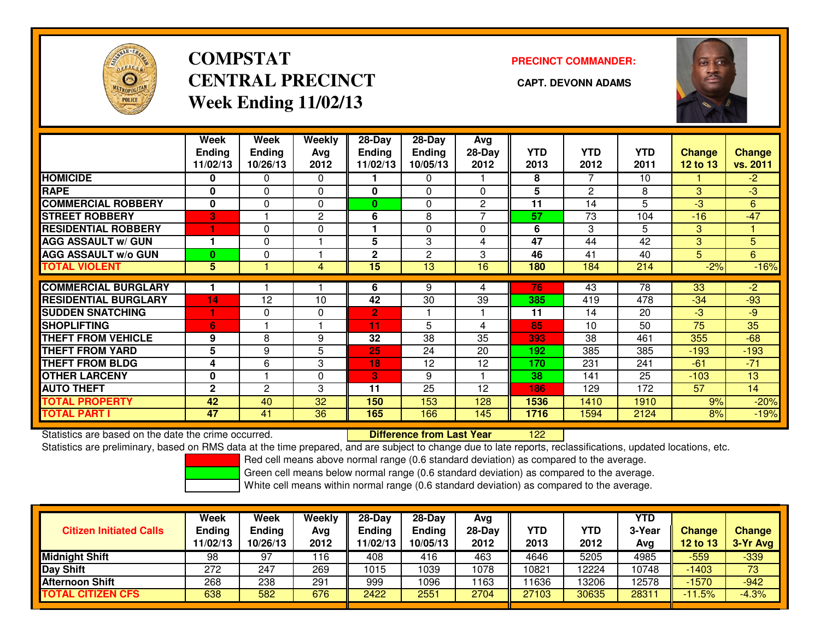

# **COMPSTATCENTRAL PRECINCT** CAPT. DEVONN ADAMS **Week Ending 11/02/13**

### **PRECINCT COMMANDER:**



|                             | Week          | Week          | Weekly       | $28-Day$        | 28-Day          | Avg            |                 |                |                |                 |               |
|-----------------------------|---------------|---------------|--------------|-----------------|-----------------|----------------|-----------------|----------------|----------------|-----------------|---------------|
|                             | <b>Ending</b> | <b>Ending</b> | Avg          | Ending          | <b>Ending</b>   | 28-Day         | <b>YTD</b>      | <b>YTD</b>     | <b>YTD</b>     | <b>Change</b>   | <b>Change</b> |
|                             | 11/02/13      | 10/26/13      | 2012         | 11/02/13        | 10/05/13        | 2012           | 2013            | 2012           | 2011           | <b>12 to 13</b> | vs. 2011      |
| <b>HOMICIDE</b>             | 0             | 0             | $\mathbf{0}$ |                 | 0               |                | 8               | 7              | 10             |                 | $-2$          |
| <b>RAPE</b>                 | 0             | $\Omega$      | $\Omega$     | $\mathbf{0}$    | $\Omega$        | $\Omega$       | 5               | $\overline{2}$ | 8              | 3               | $-3$          |
| <b>COMMERCIAL ROBBERY</b>   | $\bf{0}$      | $\Omega$      | $\Omega$     | $\bf{0}$        | $\Omega$        | $\overline{2}$ | 11              | 14             | $\overline{5}$ | $-3$            | 6             |
| <b>STREET ROBBERY</b>       | 3             |               | 2            | 6               | 8               |                | 57              | 73             | 104            | $-16$           | $-47$         |
| <b>RESIDENTIAL ROBBERY</b>  | 1             | $\Omega$      | $\Omega$     |                 | $\Omega$        | $\Omega$       | 6               | 3              | 5              | 3               |               |
| <b>AGG ASSAULT w/ GUN</b>   |               | $\Omega$      |              | 5               | 3               | 4              | $\overline{47}$ | 44             | 42             | 3               | 5             |
| <b>AGG ASSAULT w/o GUN</b>  | $\bf{0}$      | 0             |              | $\mathbf{2}$    | $\overline{c}$  | 3              | 46              | 41             | 40             | 5               | 6             |
| <b>TOTAL VIOLENT</b>        | 5             |               | 4            | $\overline{15}$ | $\overline{13}$ | 16             | 180             | 184            | 214            | $-2%$           | $-16%$        |
| <b>COMMERCIAL BURGLARY</b>  |               |               |              |                 |                 |                | 76              |                | 78             |                 |               |
|                             |               |               |              | 6               | 9               | 4              |                 | 43             |                | 33              | $-2$          |
| <b>RESIDENTIAL BURGLARY</b> | 14            | 12            | 10           | 42              | 30              | 39             | 385             | 419            | 478            | $-34$           | $-93$         |
| <b>SUDDEN SNATCHING</b>     |               | $\Omega$      | 0            | 2               |                 |                | 11              | 14             | 20             | $-3$            | $-9$          |
| <b>SHOPLIFTING</b>          | 6             |               |              | 11              | 5               | 4              | 85              | 10             | 50             | 75              | 35            |
| <b>THEFT FROM VEHICLE</b>   | 9             | 8             | 9            | 32              | 38              | 35             | 393             | 38             | 461            | 355             | $-68$         |
| <b>THEFT FROM YARD</b>      | 5             | 9             | 5            | 25              | 24              | 20             | 192             | 385            | 385            | $-193$          | $-193$        |
| <b>THEFT FROM BLDG</b>      | 4             | 6             | 3            | 18              | 12              | 12             | 170             | 231            | 241            | $-61$           | $-71$         |
| <b>OTHER LARCENY</b>        | 0             |               | 0            | 3               | 9               |                | 38              | 141            | 25             | $-103$          | 13            |
| <b>AUTO THEFT</b>           | $\mathbf{2}$  | 2             | 3            | 11              | 25              | 12             | 186             | 129            | 172            | 57              | 14            |
| <b>TOTAL PROPERTY</b>       | 42            | 40            | 32           | 150             | 153             | 128            | 1536            | 1410           | 1910           | 9%              | $-20%$        |
| <b>TOTAL PART I</b>         | 47            | 41            | 36           | 165             | 166             | 145            | 1716            | 1594           | 2124           | 8%              | $-19%$        |

Statistics are based on the date the crime occurred. **Difference from Last Year** 

<sup>122</sup>

Statistics are preliminary, based on RMS data at the time prepared, and are subject to change due to late reports, reclassifications, updated locations, etc.

Red cell means above normal range (0.6 standard deviation) as compared to the average.

Green cell means below normal range (0.6 standard deviation) as compared to the average.

| <b>Citizen Initiated Calls</b> | Week<br>Ending<br>11/02/13 | Week<br>Ending<br>10/26/13 | <b>Weekly</b><br>Avg<br>2012 | $28 - Day$<br><b>Ending</b><br>11/02/13 | $28 - Day$<br><b>Ending</b><br>10/05/13 | Avg<br>28-Day<br>2012 | YTD<br>2013 | YTD<br>2012 | <b>YTD</b><br>3-Year<br>Avg | Change<br>$12$ to $13$ | <b>Change</b><br>3-Yr Avg |
|--------------------------------|----------------------------|----------------------------|------------------------------|-----------------------------------------|-----------------------------------------|-----------------------|-------------|-------------|-----------------------------|------------------------|---------------------------|
| Midnight Shift                 | 98                         | 97                         | 16                           | 408                                     | 416                                     | 463                   | 4646        | 5205        | 4985                        | $-559$                 | $-339$                    |
| Day Shift                      | 272                        | 247                        | 269                          | 1015                                    | 1039                                    | 1078                  | 10821       | 12224       | 10748                       | $-1403$                | 73                        |
| <b>Afternoon Shift</b>         | 268                        | 238                        | 291                          | 999                                     | 1096                                    | 1163                  | 1636        | 13206       | 12578                       | $-1570$                | $-942$                    |
| <b>TOTAL CITIZEN CFS</b>       | 638                        | 582                        | 676                          | 2422                                    | 2551                                    | 2704                  | 27103       | 30635       | 28311                       | $-11.5%$               | $-4.3%$                   |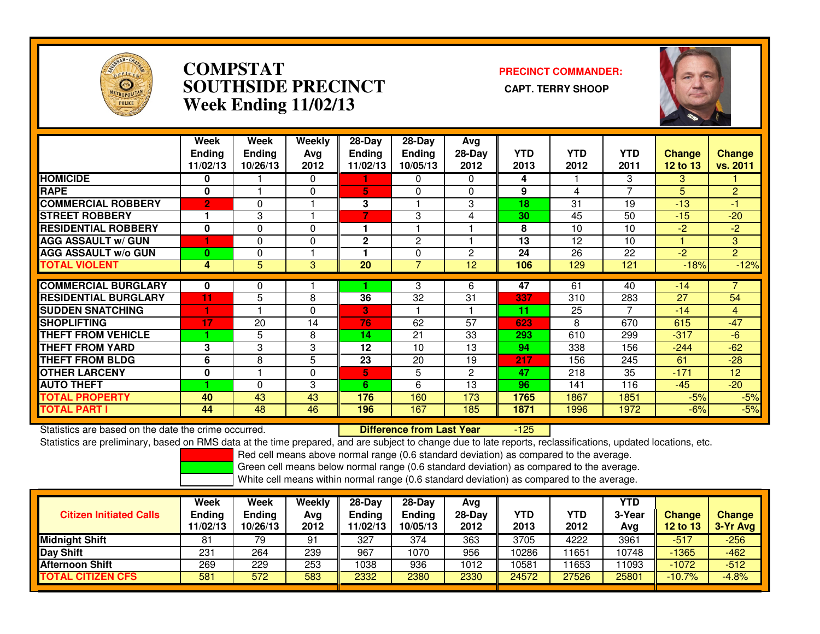

### **COMPSTAT PRECINCT COMMANDER: SOUTHSIDE PRECINCT CAPT. TERRY SHOOPWeek Ending 11/02/13**



|                             | Week<br><b>Endina</b><br>11/02/13 | Week<br><b>Ending</b><br>10/26/13 | Weekly<br>Avg<br>2012 | $28-Day$<br><b>Ending</b><br>11/02/13 | $28$ -Day<br><b>Ending</b><br>10/05/13 | Avg<br>$28-Day$<br>2012 | <b>YTD</b><br>2013 | <b>YTD</b><br>2012 | <b>YTD</b><br>2011 | <b>Change</b><br>12 to 13 | <b>Change</b><br>vs. 2011 |
|-----------------------------|-----------------------------------|-----------------------------------|-----------------------|---------------------------------------|----------------------------------------|-------------------------|--------------------|--------------------|--------------------|---------------------------|---------------------------|
| <b>HOMICIDE</b>             | 0                                 |                                   | 0                     |                                       | $\Omega$                               | $\Omega$                | 4                  |                    | 3                  | 3                         |                           |
| <b>RAPE</b>                 | $\bf{0}$                          |                                   | 0                     | 5                                     | $\Omega$                               | 0                       | 9                  | 4                  | $\overline{7}$     | 5                         | $\overline{2}$            |
| <b>COMMERCIAL ROBBERY</b>   | $\overline{2}$                    | 0                                 |                       | 3                                     |                                        | 3                       | 18                 | 31                 | 19                 | $-13$                     | $-1$                      |
| <b>STREET ROBBERY</b>       |                                   | 3                                 |                       | 7                                     | 3                                      | 4                       | 30                 | 45                 | 50                 | $-15$                     | $-20$                     |
| <b>RESIDENTIAL ROBBERY</b>  | 0                                 | 0                                 | 0                     |                                       |                                        |                         | 8                  | 10                 | 10                 | $-2$                      | $-2$                      |
| <b>AGG ASSAULT w/ GUN</b>   |                                   | 0                                 | 0                     | 2                                     | $\overline{c}$                         |                         | 13                 | 12                 | 10                 |                           | 3 <sup>1</sup>            |
| <b>AGG ASSAULT w/o GUN</b>  | $\bf{0}$                          | 0                                 |                       |                                       | $\Omega$                               | $\overline{2}$          | 24                 | 26                 | 22                 | $-2$                      | $\overline{2}$            |
| <b>TOTAL VIOLENT</b>        | 4                                 | 5                                 | 3                     | 20                                    |                                        | 12                      | 106                | 129                | 121                | $-18%$                    | $-12%$                    |
|                             |                                   |                                   |                       |                                       |                                        |                         |                    |                    |                    |                           |                           |
| <b>COMMERCIAL BURGLARY</b>  | 0                                 | 0                                 |                       |                                       | 3                                      | 6                       | 47                 | 61                 | 40                 | $-14$                     |                           |
| <b>RESIDENTIAL BURGLARY</b> | 11                                | 5                                 | 8                     | 36                                    | 32                                     | 31                      | 337                | 310                | 283                | 27                        | 54                        |
| <b>SUDDEN SNATCHING</b>     |                                   |                                   | 0                     | 3                                     |                                        |                         | 11                 | 25                 | 7                  | $-14$                     | $\overline{4}$            |
| <b>SHOPLIFTING</b>          | 17                                | 20                                | 14                    | 76                                    | 62                                     | 57                      | 623                | 8                  | 670                | 615                       | $-47$                     |
| <b>THEFT FROM VEHICLE</b>   |                                   | 5                                 | 8                     | 14                                    | 21                                     | 33                      | 293                | 610                | 299                | $-317$                    | $-6$                      |
| <b>THEFT FROM YARD</b>      | 3                                 | 3                                 | 3                     | 12                                    | 10                                     | 13                      | 94                 | 338                | 156                | $-244$                    | $-62$                     |
| <b>THEFT FROM BLDG</b>      | 6                                 | 8                                 | 5                     | 23                                    | 20                                     | 19                      | 217                | 156                | 245                | 61                        | $-28$                     |
| <b>OTHER LARCENY</b>        | 0                                 |                                   | 0                     | 5                                     | 5                                      | $\overline{2}$          | 47                 | 218                | 35                 | $-171$                    | 12                        |
| <b>AUTO THEFT</b>           |                                   | 0                                 | 3                     | 6                                     | 6                                      | 13                      | 96                 | 141                | 116                | $-45$                     | $-20$                     |
| <b>TOTAL PROPERTY</b>       | 40                                | 43                                | 43                    | 176                                   | 160                                    | 173                     | 1765               | 1867               | 1851               | $-5%$                     | $-5%$                     |
| <b>TOTAL PART I</b>         | 44                                | 48                                | 46                    | 196                                   | 167                                    | 185                     | 1871               | 1996               | 1972               | $-6%$                     | $-5%$                     |

Statistics are based on the date the crime occurred. **Difference from Last Year**  -125Statistics are preliminary, based on RMS data at the time prepared, and are subject to change due to late reports, reclassifications, updated locations, etc.

Red cell means above normal range (0.6 standard deviation) as compared to the average.

Green cell means below normal range (0.6 standard deviation) as compared to the average.

| <b>Citizen Initiated Calls</b> | Week<br><b>Ending</b><br>11/02/13 | Week<br>Ending<br>10/26/13 | Weekly<br>Avg<br>2012 | 28-Dav<br>Ending<br>1/02/13 | $28-Dav$<br><b>Ending</b><br>10/05/13 | Avg<br>28-Day<br>2012 | YTD<br>2013 | <b>YTD</b><br>2012 | <b>YTD</b><br>3-Year<br>Avg | <b>Change</b><br>12 to 13 | <b>Change</b><br>3-Yr Avg |
|--------------------------------|-----------------------------------|----------------------------|-----------------------|-----------------------------|---------------------------------------|-----------------------|-------------|--------------------|-----------------------------|---------------------------|---------------------------|
| <b>Midnight Shift</b>          | 81                                | 79                         | 91                    | 327                         | 374                                   | 363                   | 3705        | 4222               | 3961                        | $-517$                    | $-256$                    |
| <b>Day Shift</b>               | 231                               | 264                        | 239                   | 967                         | 1070                                  | 956                   | 10286       | 1651               | 10748                       | $-1365$                   | $-462$                    |
| <b>Afternoon Shift</b>         | 269                               | 229                        | 253                   | 1038                        | 936                                   | 1012                  | 10581       | 1653               | 11093                       | $-1072$                   | $-512$                    |
| <b>TOTAL CITIZEN CFS</b>       | 581                               | 572                        | 583                   | 2332                        | 2380                                  | 2330                  | 24572       | 27526              | 25801                       | $-10.7%$                  | $-4.8%$                   |